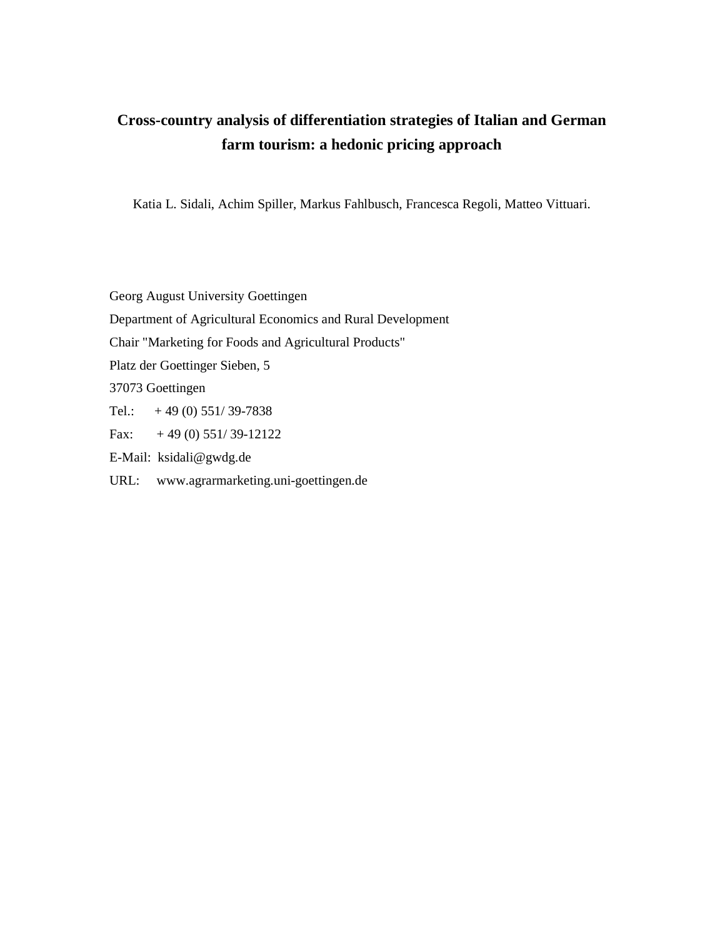# **Cross-country analysis of differentiation strategies of Italian and German farm tourism: a hedonic pricing approach**

Katia L. Sidali, Achim Spiller, Markus Fahlbusch, Francesca Regoli, Matteo Vittuari.

Georg August University Goettingen Department of Agricultural Economics and Rural Development Chair "Marketing for Foods and Agricultural Products" Platz der Goettinger Sieben, 5 37073 Goettingen Tel.:  $+49(0)$  551/39-7838 Fax:  $+ 49 (0) 551/39-12122$ E-Mail: ksidali@gwdg.de

URL: www.agrarmarketing.uni-goettingen.de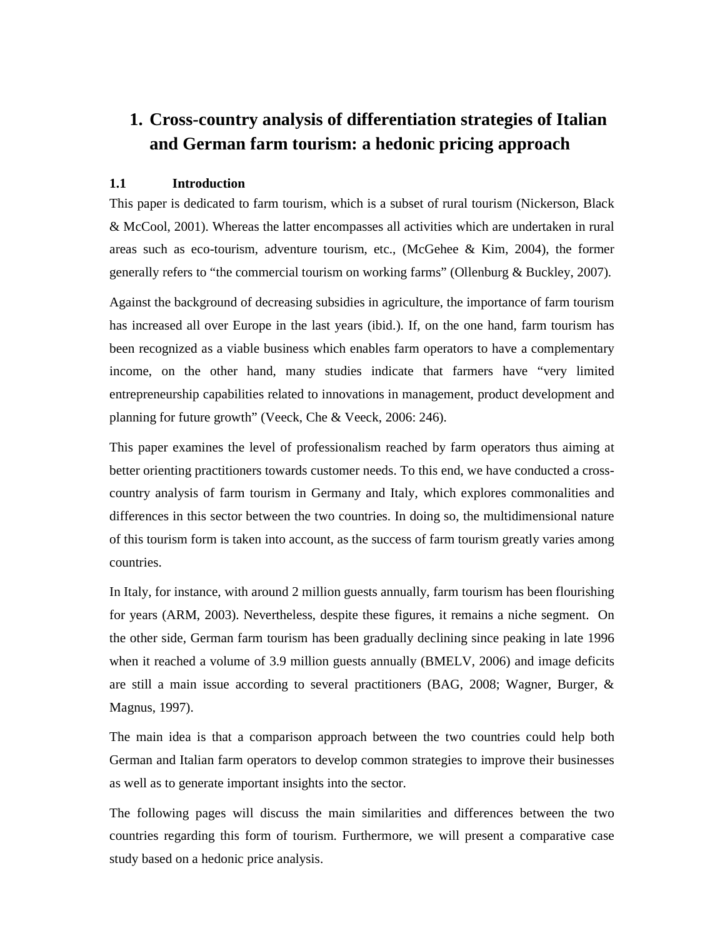# **1. Cross-country analysis of differentiation strategies of Italian and German farm tourism: a hedonic pricing approach**

# **1.1 Introduction**

This paper is dedicated to farm tourism, which is a subset of rural tourism (Nickerson, Black & McCool, 2001). Whereas the latter encompasses all activities which are undertaken in rural areas such as eco-tourism, adventure tourism, etc., (McGehee & Kim, 2004), the former generally refers to "the commercial tourism on working farms" (Ollenburg & Buckley, 2007).

Against the background of decreasing subsidies in agriculture, the importance of farm tourism has increased all over Europe in the last years (ibid.). If, on the one hand, farm tourism has been recognized as a viable business which enables farm operators to have a complementary income, on the other hand, many studies indicate that farmers have "very limited entrepreneurship capabilities related to innovations in management, product development and planning for future growth" (Veeck, Che & Veeck, 2006: 246).

This paper examines the level of professionalism reached by farm operators thus aiming at better orienting practitioners towards customer needs. To this end, we have conducted a crosscountry analysis of farm tourism in Germany and Italy, which explores commonalities and differences in this sector between the two countries. In doing so, the multidimensional nature of this tourism form is taken into account, as the success of farm tourism greatly varies among countries.

In Italy, for instance, with around 2 million guests annually, farm tourism has been flourishing for years (ARM, 2003). Nevertheless, despite these figures, it remains a niche segment. On the other side, German farm tourism has been gradually declining since peaking in late 1996 when it reached a volume of 3.9 million guests annually (BMELV, 2006) and image deficits are still a main issue according to several practitioners (BAG, 2008; Wagner, Burger, & Magnus, 1997).

The main idea is that a comparison approach between the two countries could help both German and Italian farm operators to develop common strategies to improve their businesses as well as to generate important insights into the sector.

The following pages will discuss the main similarities and differences between the two countries regarding this form of tourism. Furthermore, we will present a comparative case study based on a hedonic price analysis.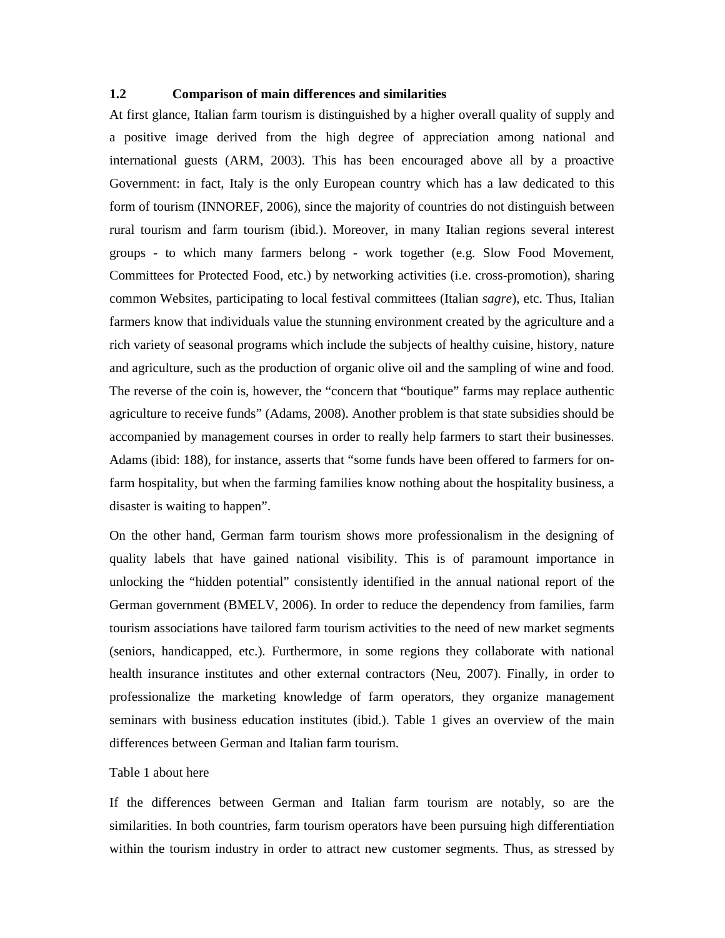# **1.2 Comparison of main differences and similarities**

At first glance, Italian farm tourism is distinguished by a higher overall quality of supply and a positive image derived from the high degree of appreciation among national and international guests (ARM, 2003). This has been encouraged above all by a proactive Government: in fact, Italy is the only European country which has a law dedicated to this form of tourism (INNOREF, 2006), since the majority of countries do not distinguish between rural tourism and farm tourism (ibid.). Moreover, in many Italian regions several interest groups - to which many farmers belong - work together (e.g. Slow Food Movement, Committees for Protected Food, etc.) by networking activities (i.e. cross-promotion), sharing common Websites, participating to local festival committees (Italian *sagre*), etc. Thus, Italian farmers know that individuals value the stunning environment created by the agriculture and a rich variety of seasonal programs which include the subjects of healthy cuisine, history, nature and agriculture, such as the production of organic olive oil and the sampling of wine and food. The reverse of the coin is, however, the "concern that "boutique" farms may replace authentic agriculture to receive funds" (Adams, 2008). Another problem is that state subsidies should be accompanied by management courses in order to really help farmers to start their businesses. Adams (ibid: 188), for instance, asserts that "some funds have been offered to farmers for onfarm hospitality, but when the farming families know nothing about the hospitality business, a disaster is waiting to happen".

On the other hand, German farm tourism shows more professionalism in the designing of quality labels that have gained national visibility. This is of paramount importance in unlocking the "hidden potential" consistently identified in the annual national report of the German government (BMELV, 2006). In order to reduce the dependency from families, farm tourism associations have tailored farm tourism activities to the need of new market segments (seniors, handicapped, etc.). Furthermore, in some regions they collaborate with national health insurance institutes and other external contractors (Neu, 2007). Finally, in order to professionalize the marketing knowledge of farm operators, they organize management seminars with business education institutes (ibid.). Table 1 gives an overview of the main differences between German and Italian farm tourism.

#### Table 1 about here

If the differences between German and Italian farm tourism are notably, so are the similarities. In both countries, farm tourism operators have been pursuing high differentiation within the tourism industry in order to attract new customer segments. Thus, as stressed by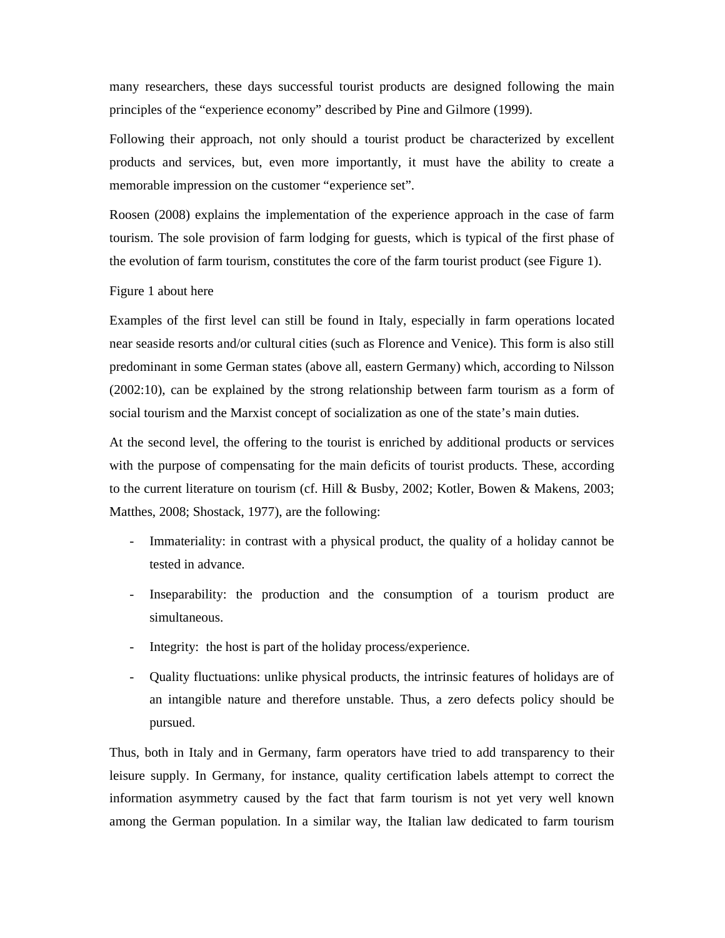many researchers, these days successful tourist products are designed following the main principles of the "experience economy" described by Pine and Gilmore (1999).

Following their approach, not only should a tourist product be characterized by excellent products and services, but, even more importantly, it must have the ability to create a memorable impression on the customer "experience set".

Roosen (2008) explains the implementation of the experience approach in the case of farm tourism. The sole provision of farm lodging for guests, which is typical of the first phase of the evolution of farm tourism, constitutes the core of the farm tourist product (see Figure 1).

#### Figure 1 about here

Examples of the first level can still be found in Italy, especially in farm operations located near seaside resorts and/or cultural cities (such as Florence and Venice). This form is also still predominant in some German states (above all, eastern Germany) which, according to Nilsson (2002:10), can be explained by the strong relationship between farm tourism as a form of social tourism and the Marxist concept of socialization as one of the state's main duties.

At the second level, the offering to the tourist is enriched by additional products or services with the purpose of compensating for the main deficits of tourist products. These, according to the current literature on tourism (cf. Hill & Busby, 2002; Kotler, Bowen & Makens, 2003; Matthes, 2008; Shostack, 1977), are the following:

- Immateriality: in contrast with a physical product, the quality of a holiday cannot be tested in advance.
- Inseparability: the production and the consumption of a tourism product are simultaneous.
- Integrity: the host is part of the holiday process/experience.
- Quality fluctuations: unlike physical products, the intrinsic features of holidays are of an intangible nature and therefore unstable. Thus, a zero defects policy should be pursued.

Thus, both in Italy and in Germany, farm operators have tried to add transparency to their leisure supply. In Germany, for instance, quality certification labels attempt to correct the information asymmetry caused by the fact that farm tourism is not yet very well known among the German population. In a similar way, the Italian law dedicated to farm tourism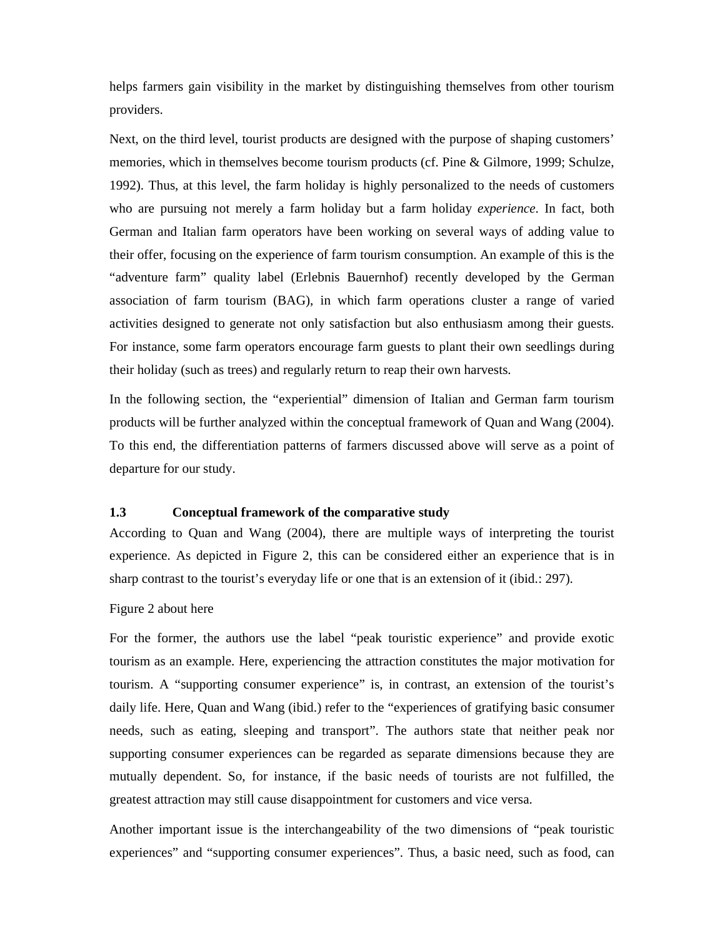helps farmers gain visibility in the market by distinguishing themselves from other tourism providers.

Next, on the third level, tourist products are designed with the purpose of shaping customers' memories, which in themselves become tourism products (cf. Pine & Gilmore, 1999; Schulze, 1992). Thus, at this level, the farm holiday is highly personalized to the needs of customers who are pursuing not merely a farm holiday but a farm holiday *experience*. In fact, both German and Italian farm operators have been working on several ways of adding value to their offer, focusing on the experience of farm tourism consumption. An example of this is the "adventure farm" quality label (Erlebnis Bauernhof) recently developed by the German association of farm tourism (BAG), in which farm operations cluster a range of varied activities designed to generate not only satisfaction but also enthusiasm among their guests. For instance, some farm operators encourage farm guests to plant their own seedlings during their holiday (such as trees) and regularly return to reap their own harvests.

In the following section, the "experiential" dimension of Italian and German farm tourism products will be further analyzed within the conceptual framework of Quan and Wang (2004). To this end, the differentiation patterns of farmers discussed above will serve as a point of departure for our study.

#### **1.3 Conceptual framework of the comparative study**

According to Quan and Wang (2004), there are multiple ways of interpreting the tourist experience. As depicted in Figure 2, this can be considered either an experience that is in sharp contrast to the tourist's everyday life or one that is an extension of it (ibid.: 297).

# Figure 2 about here

For the former, the authors use the label "peak touristic experience" and provide exotic tourism as an example. Here, experiencing the attraction constitutes the major motivation for tourism. A "supporting consumer experience" is, in contrast, an extension of the tourist's daily life. Here, Quan and Wang (ibid.) refer to the "experiences of gratifying basic consumer needs, such as eating, sleeping and transport". The authors state that neither peak nor supporting consumer experiences can be regarded as separate dimensions because they are mutually dependent. So, for instance, if the basic needs of tourists are not fulfilled, the greatest attraction may still cause disappointment for customers and vice versa.

Another important issue is the interchangeability of the two dimensions of "peak touristic experiences" and "supporting consumer experiences". Thus, a basic need, such as food, can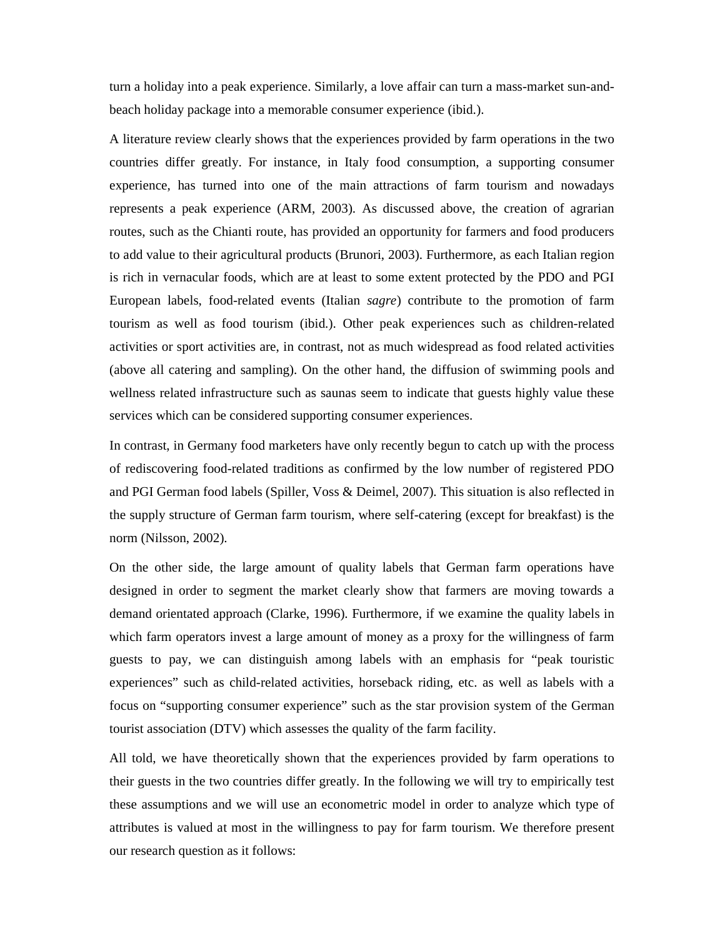turn a holiday into a peak experience. Similarly, a love affair can turn a mass-market sun-andbeach holiday package into a memorable consumer experience (ibid.).

A literature review clearly shows that the experiences provided by farm operations in the two countries differ greatly. For instance, in Italy food consumption, a supporting consumer experience, has turned into one of the main attractions of farm tourism and nowadays represents a peak experience (ARM, 2003). As discussed above, the creation of agrarian routes, such as the Chianti route, has provided an opportunity for farmers and food producers to add value to their agricultural products (Brunori, 2003). Furthermore, as each Italian region is rich in vernacular foods, which are at least to some extent protected by the PDO and PGI European labels, food-related events (Italian *sagre*) contribute to the promotion of farm tourism as well as food tourism (ibid.). Other peak experiences such as children-related activities or sport activities are, in contrast, not as much widespread as food related activities (above all catering and sampling). On the other hand, the diffusion of swimming pools and wellness related infrastructure such as saunas seem to indicate that guests highly value these services which can be considered supporting consumer experiences.

In contrast, in Germany food marketers have only recently begun to catch up with the process of rediscovering food-related traditions as confirmed by the low number of registered PDO and PGI German food labels (Spiller, Voss & Deimel, 2007). This situation is also reflected in the supply structure of German farm tourism, where self-catering (except for breakfast) is the norm (Nilsson, 2002).

On the other side, the large amount of quality labels that German farm operations have designed in order to segment the market clearly show that farmers are moving towards a demand orientated approach (Clarke, 1996). Furthermore, if we examine the quality labels in which farm operators invest a large amount of money as a proxy for the willingness of farm guests to pay, we can distinguish among labels with an emphasis for "peak touristic experiences" such as child-related activities, horseback riding, etc. as well as labels with a focus on "supporting consumer experience" such as the star provision system of the German tourist association (DTV) which assesses the quality of the farm facility.

All told, we have theoretically shown that the experiences provided by farm operations to their guests in the two countries differ greatly. In the following we will try to empirically test these assumptions and we will use an econometric model in order to analyze which type of attributes is valued at most in the willingness to pay for farm tourism. We therefore present our research question as it follows: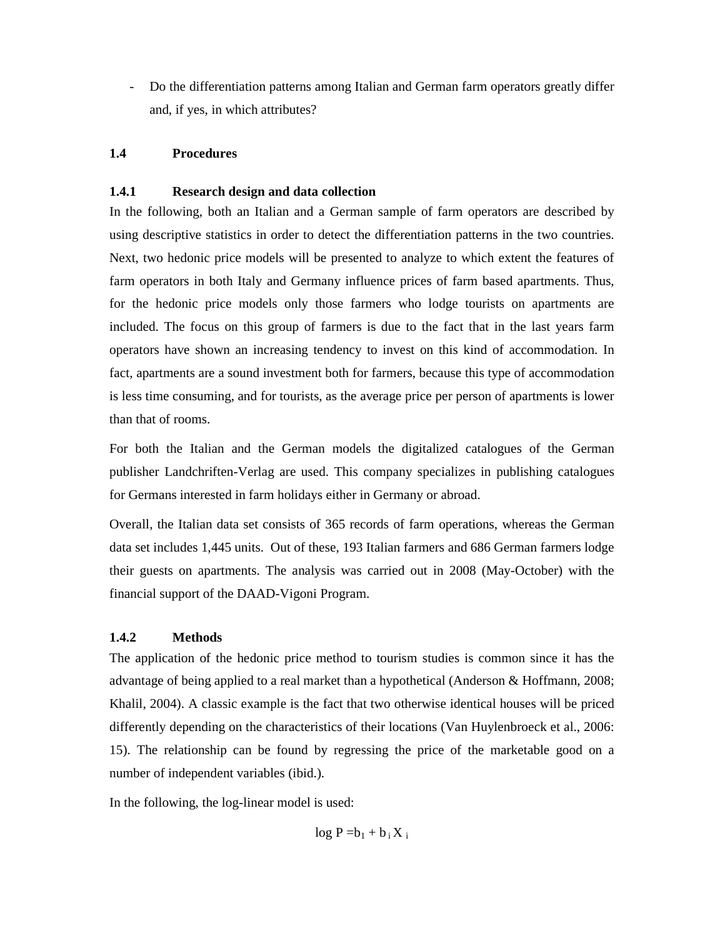- Do the differentiation patterns among Italian and German farm operators greatly differ and, if yes, in which attributes?

# **1.4 Procedures**

# **1.4.1 Research design and data collection**

In the following, both an Italian and a German sample of farm operators are described by using descriptive statistics in order to detect the differentiation patterns in the two countries. Next, two hedonic price models will be presented to analyze to which extent the features of farm operators in both Italy and Germany influence prices of farm based apartments. Thus, for the hedonic price models only those farmers who lodge tourists on apartments are included. The focus on this group of farmers is due to the fact that in the last years farm operators have shown an increasing tendency to invest on this kind of accommodation. In fact, apartments are a sound investment both for farmers, because this type of accommodation is less time consuming, and for tourists, as the average price per person of apartments is lower than that of rooms.

For both the Italian and the German models the digitalized catalogues of the German publisher Landchriften-Verlag are used. This company specializes in publishing catalogues for Germans interested in farm holidays either in Germany or abroad.

Overall, the Italian data set consists of 365 records of farm operations, whereas the German data set includes 1,445 units. Out of these, 193 Italian farmers and 686 German farmers lodge their guests on apartments. The analysis was carried out in 2008 (May-October) with the financial support of the DAAD-Vigoni Program.

# **1.4.2 Methods**

The application of the hedonic price method to tourism studies is common since it has the advantage of being applied to a real market than a hypothetical (Anderson & Hoffmann, 2008; Khalil, 2004). A classic example is the fact that two otherwise identical houses will be priced differently depending on the characteristics of their locations (Van Huylenbroeck et al., 2006: 15). The relationship can be found by regressing the price of the marketable good on a number of independent variables (ibid.).

In the following, the log-linear model is used:

 $log P = b_1 + b_i X_i$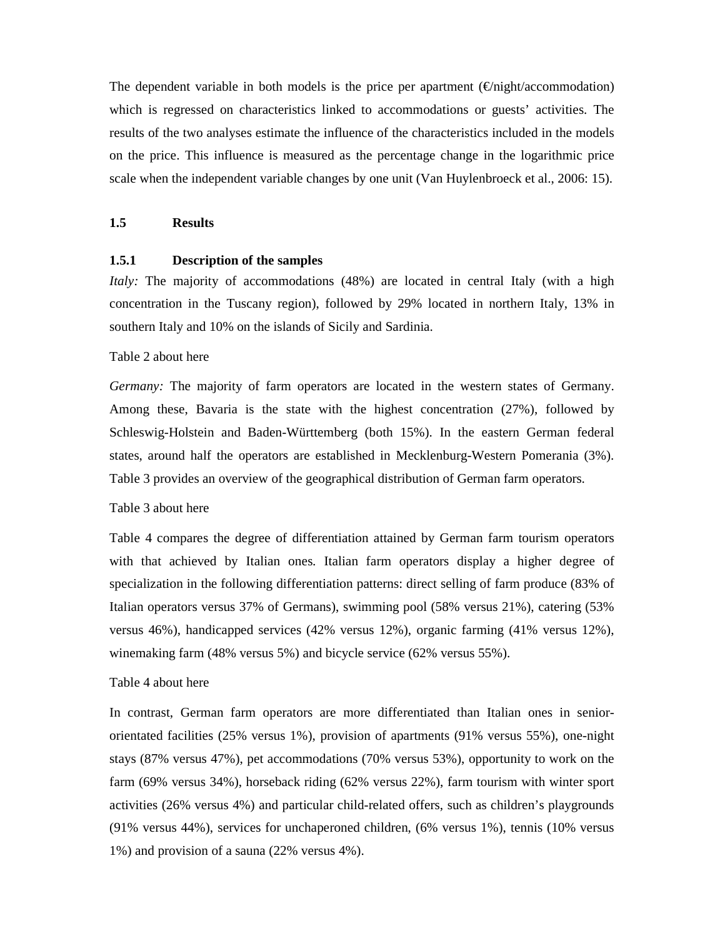The dependent variable in both models is the price per apartment  $(\epsilon/night/accommodation)$ which is regressed on characteristics linked to accommodations or guests' activities. The results of the two analyses estimate the influence of the characteristics included in the models on the price. This influence is measured as the percentage change in the logarithmic price scale when the independent variable changes by one unit (Van Huylenbroeck et al., 2006: 15).

# **1.5 Results**

# **1.5.1 Description of the samples**

*Italy:* The majority of accommodations (48%) are located in central Italy (with a high concentration in the Tuscany region), followed by 29% located in northern Italy, 13% in southern Italy and 10% on the islands of Sicily and Sardinia.

#### Table 2 about here

*Germany:* The majority of farm operators are located in the western states of Germany. Among these, Bavaria is the state with the highest concentration (27%), followed by Schleswig-Holstein and Baden-Württemberg (both 15%). In the eastern German federal states, around half the operators are established in Mecklenburg-Western Pomerania (3%). Table 3 provides an overview of the geographical distribution of German farm operators.

# Table 3 about here

Table 4 compares the degree of differentiation attained by German farm tourism operators with that achieved by Italian ones. Italian farm operators display a higher degree of specialization in the following differentiation patterns: direct selling of farm produce (83% of Italian operators versus 37% of Germans), swimming pool (58% versus 21%), catering (53% versus 46%), handicapped services (42% versus 12%), organic farming (41% versus 12%), winemaking farm (48% versus 5%) and bicycle service (62% versus 55%).

# Table 4 about here

In contrast, German farm operators are more differentiated than Italian ones in seniororientated facilities (25% versus 1%), provision of apartments (91% versus 55%), one-night stays (87% versus 47%), pet accommodations (70% versus 53%), opportunity to work on the farm (69% versus 34%), horseback riding (62% versus 22%), farm tourism with winter sport activities (26% versus 4%) and particular child-related offers, such as children's playgrounds (91% versus 44%), services for unchaperoned children, (6% versus 1%), tennis (10% versus 1%) and provision of a sauna (22% versus 4%).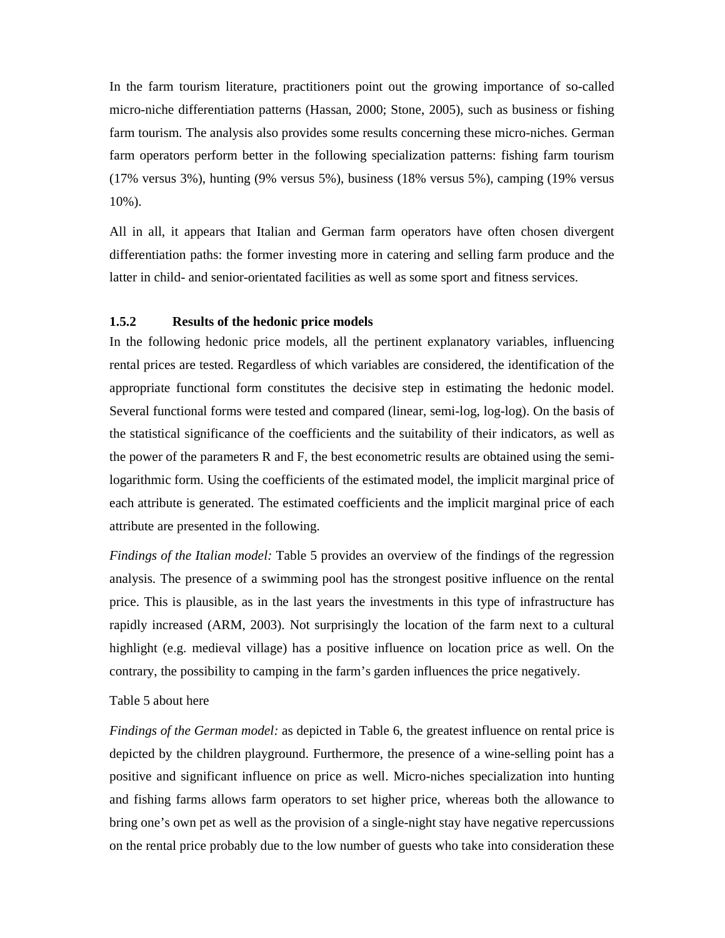In the farm tourism literature, practitioners point out the growing importance of so-called micro-niche differentiation patterns (Hassan, 2000; Stone, 2005), such as business or fishing farm tourism. The analysis also provides some results concerning these micro-niches. German farm operators perform better in the following specialization patterns: fishing farm tourism (17% versus 3%), hunting (9% versus 5%), business (18% versus 5%), camping (19% versus 10%).

All in all, it appears that Italian and German farm operators have often chosen divergent differentiation paths: the former investing more in catering and selling farm produce and the latter in child- and senior-orientated facilities as well as some sport and fitness services.

# **1.5.2 Results of the hedonic price models**

In the following hedonic price models, all the pertinent explanatory variables, influencing rental prices are tested. Regardless of which variables are considered, the identification of the appropriate functional form constitutes the decisive step in estimating the hedonic model. Several functional forms were tested and compared (linear, semi-log, log-log). On the basis of the statistical significance of the coefficients and the suitability of their indicators, as well as the power of the parameters R and F, the best econometric results are obtained using the semilogarithmic form. Using the coefficients of the estimated model, the implicit marginal price of each attribute is generated. The estimated coefficients and the implicit marginal price of each attribute are presented in the following.

*Findings of the Italian model:* Table 5 provides an overview of the findings of the regression analysis. The presence of a swimming pool has the strongest positive influence on the rental price. This is plausible, as in the last years the investments in this type of infrastructure has rapidly increased (ARM, 2003). Not surprisingly the location of the farm next to a cultural highlight (e.g. medieval village) has a positive influence on location price as well. On the contrary, the possibility to camping in the farm's garden influences the price negatively.

#### Table 5 about here

*Findings of the German model:* as depicted in Table 6, the greatest influence on rental price is depicted by the children playground. Furthermore, the presence of a wine-selling point has a positive and significant influence on price as well. Micro-niches specialization into hunting and fishing farms allows farm operators to set higher price, whereas both the allowance to bring one's own pet as well as the provision of a single-night stay have negative repercussions on the rental price probably due to the low number of guests who take into consideration these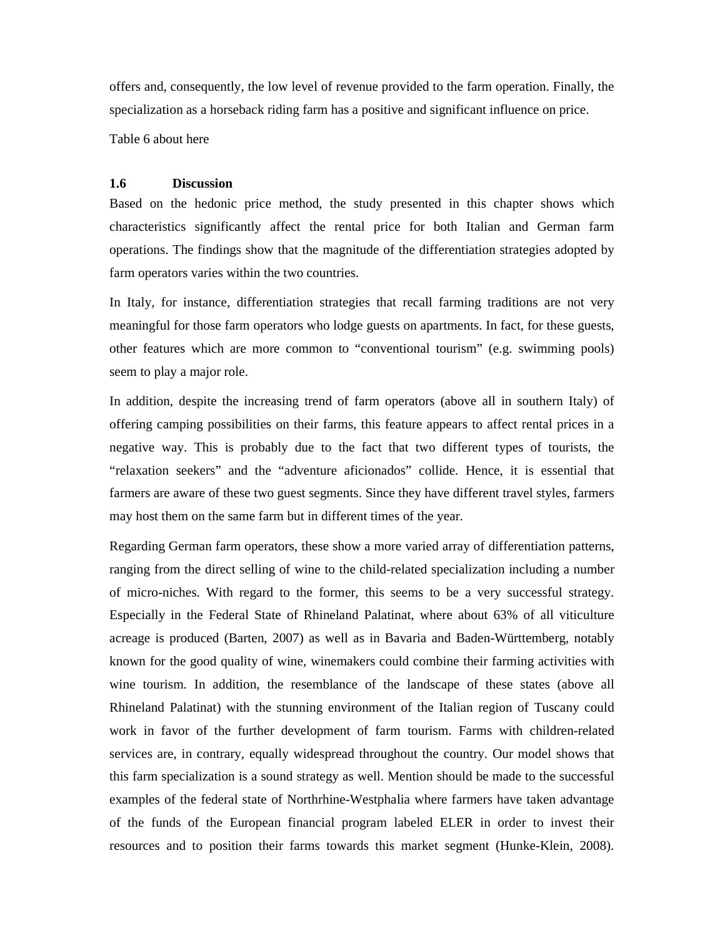offers and, consequently, the low level of revenue provided to the farm operation. Finally, the specialization as a horseback riding farm has a positive and significant influence on price.

Table 6 about here

#### **1.6 Discussion**

Based on the hedonic price method, the study presented in this chapter shows which characteristics significantly affect the rental price for both Italian and German farm operations. The findings show that the magnitude of the differentiation strategies adopted by farm operators varies within the two countries.

In Italy, for instance, differentiation strategies that recall farming traditions are not very meaningful for those farm operators who lodge guests on apartments. In fact, for these guests, other features which are more common to "conventional tourism" (e.g. swimming pools) seem to play a major role.

In addition, despite the increasing trend of farm operators (above all in southern Italy) of offering camping possibilities on their farms, this feature appears to affect rental prices in a negative way. This is probably due to the fact that two different types of tourists, the "relaxation seekers" and the "adventure aficionados" collide. Hence, it is essential that farmers are aware of these two guest segments. Since they have different travel styles, farmers may host them on the same farm but in different times of the year.

Regarding German farm operators, these show a more varied array of differentiation patterns, ranging from the direct selling of wine to the child-related specialization including a number of micro-niches. With regard to the former, this seems to be a very successful strategy. Especially in the Federal State of Rhineland Palatinat, where about 63% of all viticulture acreage is produced (Barten, 2007) as well as in Bavaria and Baden-Württemberg, notably known for the good quality of wine, winemakers could combine their farming activities with wine tourism. In addition, the resemblance of the landscape of these states (above all Rhineland Palatinat) with the stunning environment of the Italian region of Tuscany could work in favor of the further development of farm tourism. Farms with children-related services are, in contrary, equally widespread throughout the country. Our model shows that this farm specialization is a sound strategy as well. Mention should be made to the successful examples of the federal state of Northrhine-Westphalia where farmers have taken advantage of the funds of the European financial program labeled ELER in order to invest their resources and to position their farms towards this market segment (Hunke-Klein, 2008).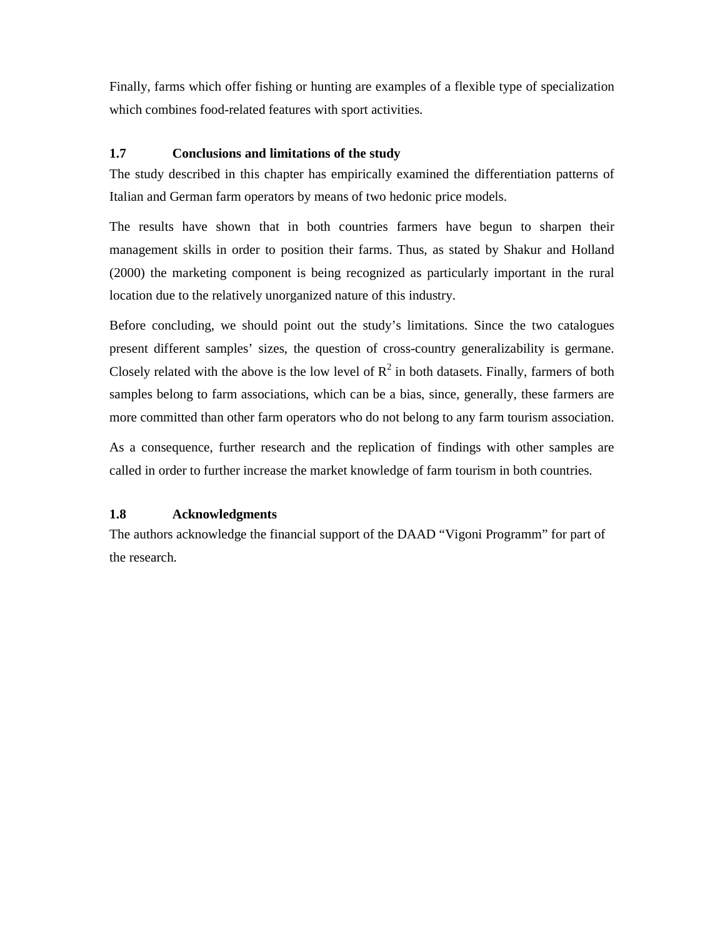Finally, farms which offer fishing or hunting are examples of a flexible type of specialization which combines food-related features with sport activities.

# **1.7 Conclusions and limitations of the study**

The study described in this chapter has empirically examined the differentiation patterns of Italian and German farm operators by means of two hedonic price models.

The results have shown that in both countries farmers have begun to sharpen their management skills in order to position their farms. Thus, as stated by Shakur and Holland (2000) the marketing component is being recognized as particularly important in the rural location due to the relatively unorganized nature of this industry.

Before concluding, we should point out the study's limitations. Since the two catalogues present different samples' sizes, the question of cross-country generalizability is germane. Closely related with the above is the low level of  $R^2$  in both datasets. Finally, farmers of both samples belong to farm associations, which can be a bias, since, generally, these farmers are more committed than other farm operators who do not belong to any farm tourism association.

As a consequence, further research and the replication of findings with other samples are called in order to further increase the market knowledge of farm tourism in both countries.

# **1.8 Acknowledgments**

The authors acknowledge the financial support of the DAAD "Vigoni Programm" for part of the research.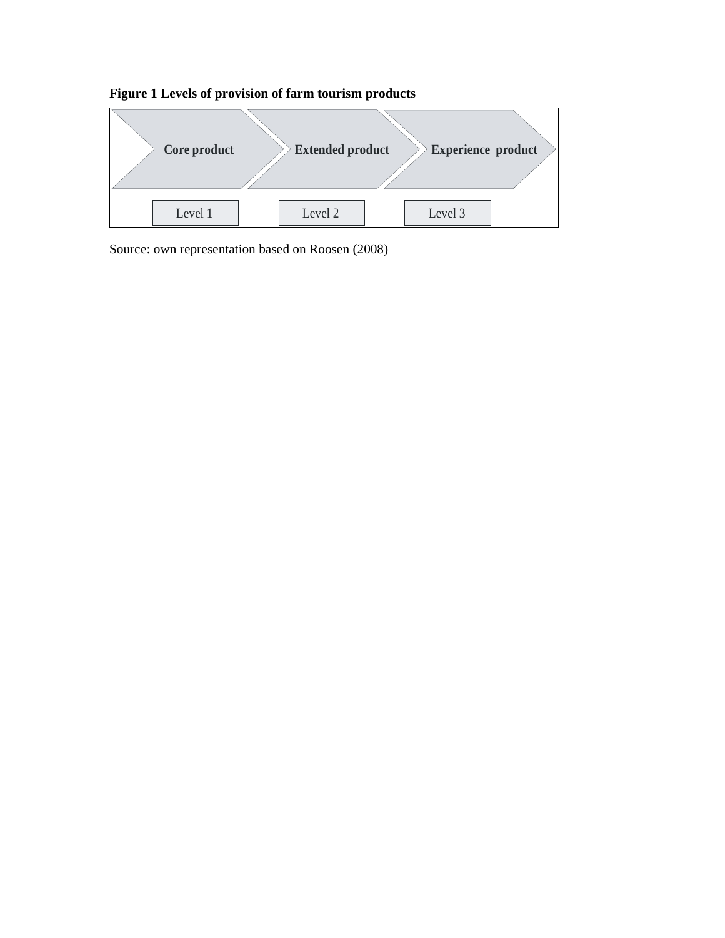

# **Figure 1 Levels of provision of farm tourism products**

Source: own representation based on Roosen (2008)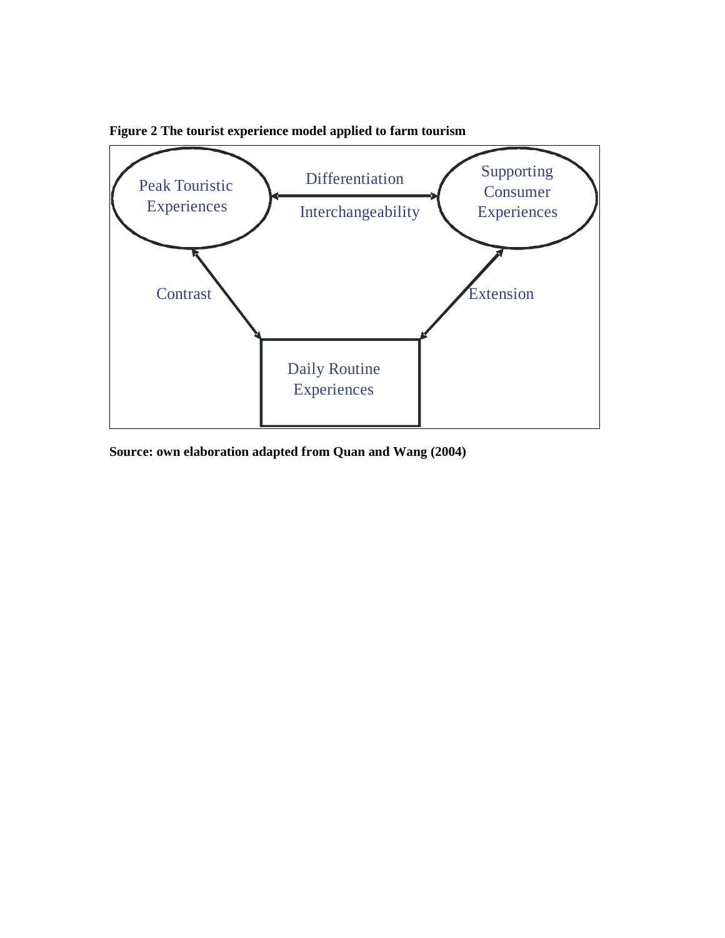

**Figure 2 The tourist experience model applied to farm tourism** 

**Source: own elaboration adapted from Quan and Wang (2004)**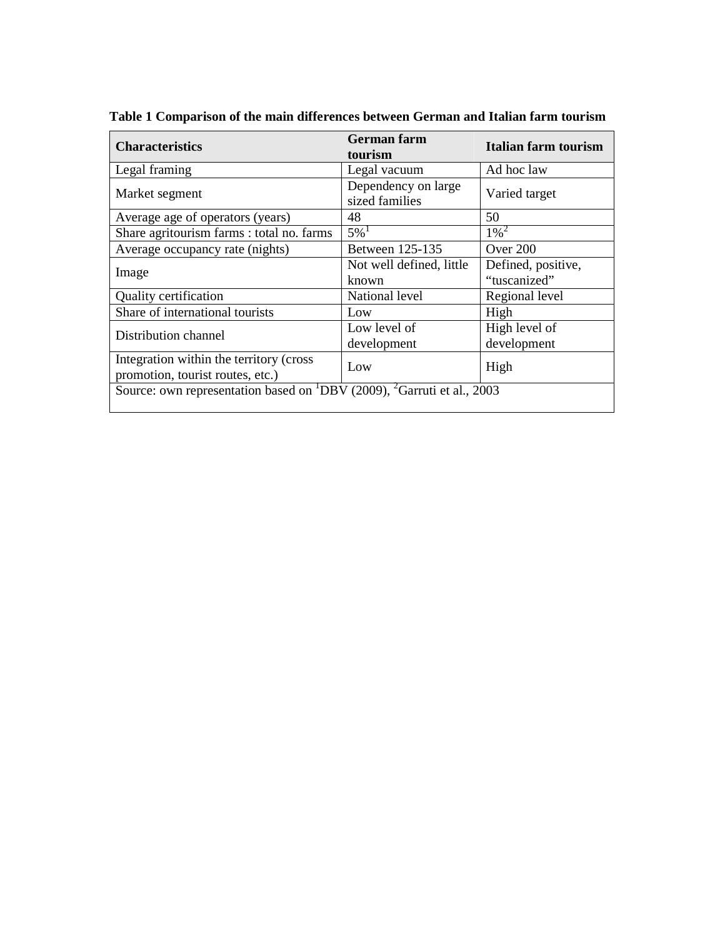| <b>Characteristics</b>                                                                         | <b>German</b> farm       | <b>Italian farm tourism</b> |  |
|------------------------------------------------------------------------------------------------|--------------------------|-----------------------------|--|
|                                                                                                | tourism                  |                             |  |
| Legal framing                                                                                  | Legal vacuum             | Ad hoc law                  |  |
|                                                                                                | Dependency on large      | Varied target               |  |
| Market segment                                                                                 | sized families           |                             |  |
| Average age of operators (years)                                                               | 48                       | 50                          |  |
| Share agritourism farms : total no. farms                                                      | $5\%$ <sup>1</sup>       | $1\%^{2}$                   |  |
| Average occupancy rate (nights)                                                                | Between 125-135          | Over 200                    |  |
|                                                                                                | Not well defined, little | Defined, positive,          |  |
| Image                                                                                          | known                    | "tuscanized"                |  |
| Quality certification                                                                          | National level           | Regional level              |  |
| Share of international tourists                                                                | Low                      | High                        |  |
| Distribution channel                                                                           | Low level of             | High level of               |  |
|                                                                                                | development              | development                 |  |
| Integration within the territory (cross)                                                       | Low                      | High                        |  |
| promotion, tourist routes, etc.)                                                               |                          |                             |  |
| Source: own representation based on <sup>1</sup> DBV (2009), <sup>2</sup> Garruti et al., 2003 |                          |                             |  |
|                                                                                                |                          |                             |  |

**Table 1 Comparison of the main differences between German and Italian farm tourism**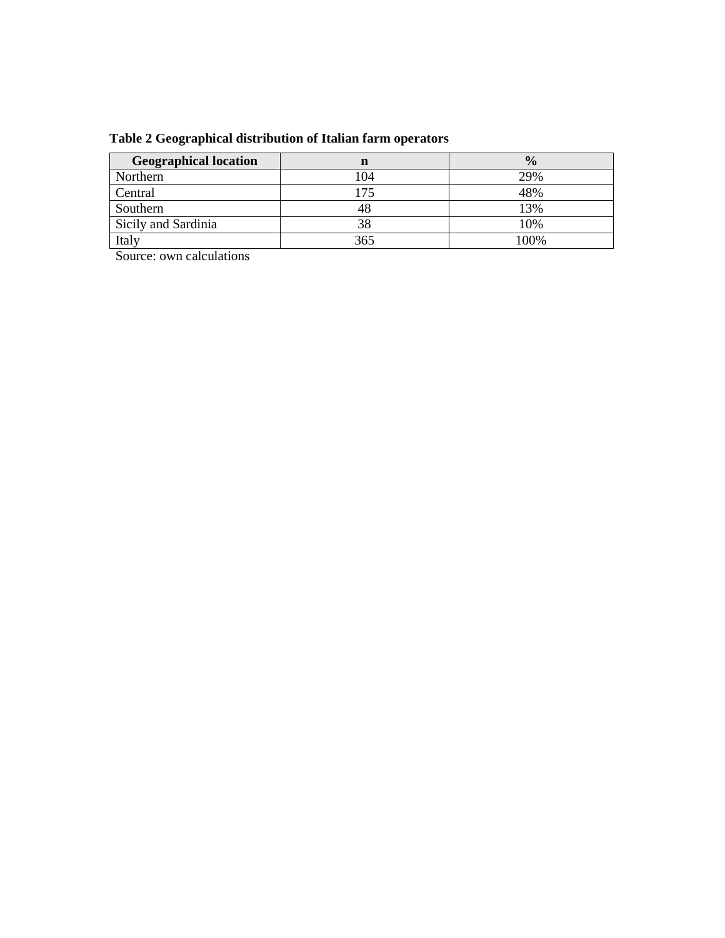| <b>Geographical location</b> | n   | $\frac{0}{0}$ |
|------------------------------|-----|---------------|
| Northern                     | 104 | 29%           |
| Central                      | 175 | 48%           |
| Southern                     |     | 13%           |
| Sicily and Sardinia          | 38  | 10%           |
| Italy                        | 365 | 100%          |

Source: own calculations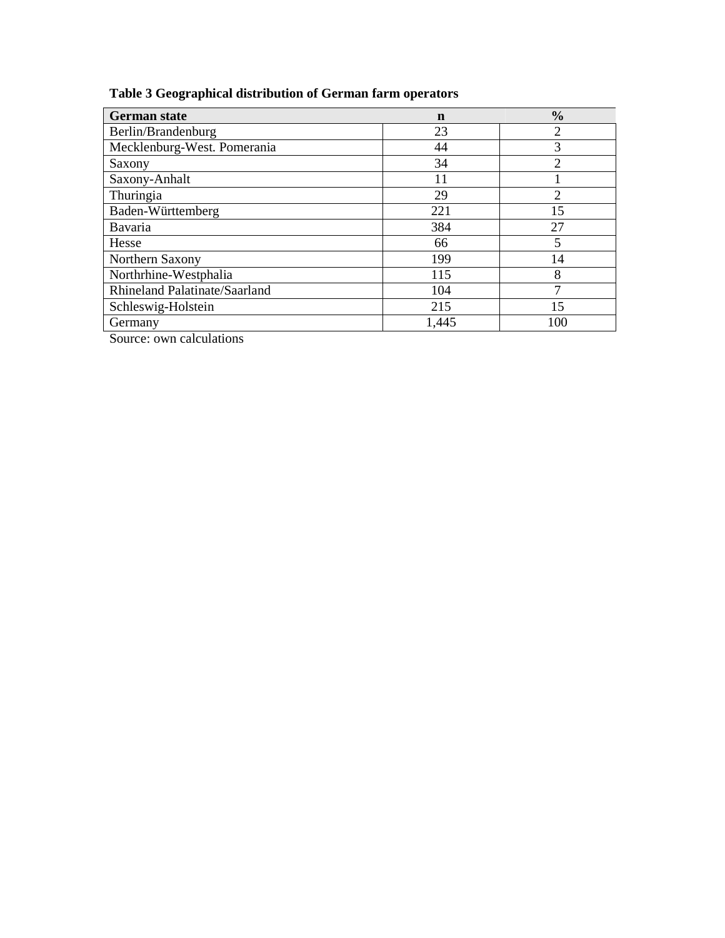# **Table 3 Geographical distribution of German farm operators**

| <b>German state</b>                  | n     | $\frac{0}{0}$  |
|--------------------------------------|-------|----------------|
| Berlin/Brandenburg                   | 23    | 2              |
| Mecklenburg-West. Pomerania          | 44    | 3              |
| Saxony                               | 34    | 2              |
| Saxony-Anhalt                        | 11    |                |
| Thuringia                            | 29    | $\mathfrak{D}$ |
| Baden-Württemberg                    | 221   | 15             |
| Bavaria                              | 384   | 27             |
| Hesse                                | 66    | 5              |
| Northern Saxony                      | 199   | 14             |
| Northrhine-Westphalia                | 115   | 8              |
| <b>Rhineland Palatinate/Saarland</b> | 104   | Ξ              |
| Schleswig-Holstein                   | 215   | 15             |
| Germany                              | 1,445 | 100            |

Source: own calculations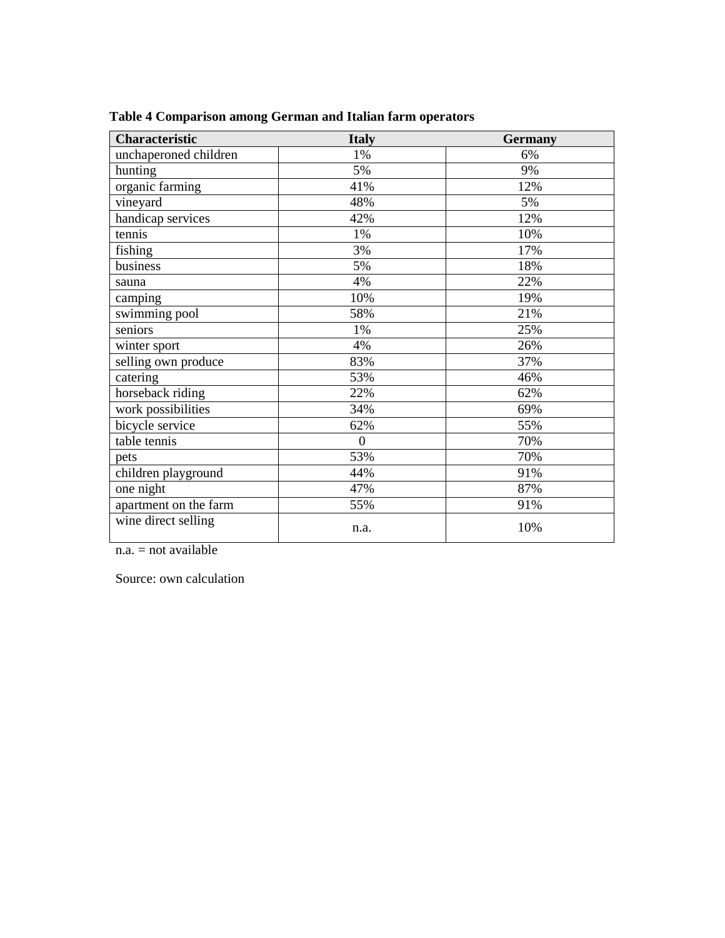| Characteristic        | <b>Italy</b>   | <b>Germany</b> |
|-----------------------|----------------|----------------|
| unchaperoned children | 1%             | 6%             |
| hunting               | 5%             | 9%             |
| organic farming       | 41%            | 12%            |
| vineyard              | 48%            | 5%             |
| handicap services     | 42%            | 12%            |
| tennis                | 1%             | 10%            |
| fishing               | 3%             | 17%            |
| business              | 5%             | 18%            |
| sauna                 | 4%             | 22%            |
| camping               | 10%            | 19%            |
| swimming pool         | 58%            | 21%            |
| seniors               | 1%             | 25%            |
| winter sport          | 4%             | 26%            |
| selling own produce   | 83%            | 37%            |
| catering              | 53%            | 46%            |
| horseback riding      | 22%            | 62%            |
| work possibilities    | 34%            | 69%            |
| bicycle service       | 62%            | 55%            |
| table tennis          | $\overline{0}$ | 70%            |
| pets                  | 53%            | 70%            |
| children playground   | 44%            | 91%            |
| one night             | 47%            | 87%            |
| apartment on the farm | 55%            | 91%            |
| wine direct selling   | n.a.           | 10%            |

**Table 4 Comparison among German and Italian farm operators** 

 $n.a. = not available$ 

Source: own calculation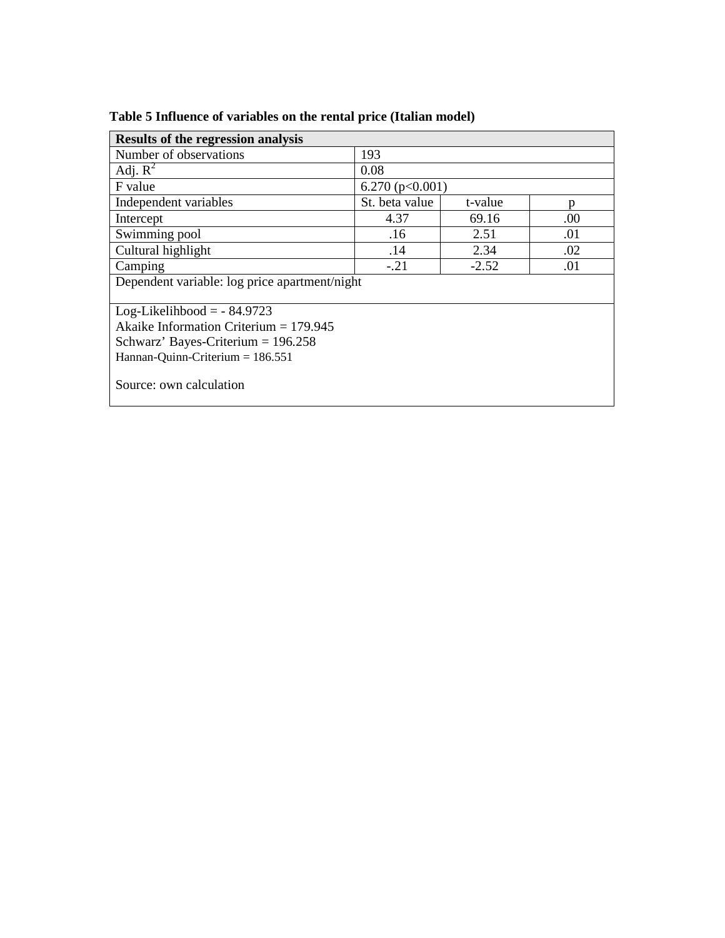| <b>Results of the regression analysis</b>     |                     |         |     |
|-----------------------------------------------|---------------------|---------|-----|
| Number of observations                        | 193                 |         |     |
| Adj. $R^2$                                    | 0.08                |         |     |
| F value                                       | 6.270 ( $p<0.001$ ) |         |     |
| Independent variables                         | St. beta value      | t-value | p   |
| Intercept                                     | 4.37                | 69.16   | .00 |
| Swimming pool                                 | .16                 | 2.51    | .01 |
| Cultural highlight                            | .14                 | 2.34    | .02 |
| Camping                                       | $-.21$              | $-2.52$ | .01 |
| Dependent variable: log price apartment/night |                     |         |     |
| Log-Likelihbood = $-84.9723$                  |                     |         |     |
| Akaike Information Criterium = $179.945$      |                     |         |     |
| Schwarz' Bayes-Criterium = $196.258$          |                     |         |     |
| Hannan-Quinn-Criterium $= 186.551$            |                     |         |     |
| Source: own calculation                       |                     |         |     |

**Table 5 Influence of variables on the rental price (Italian model)**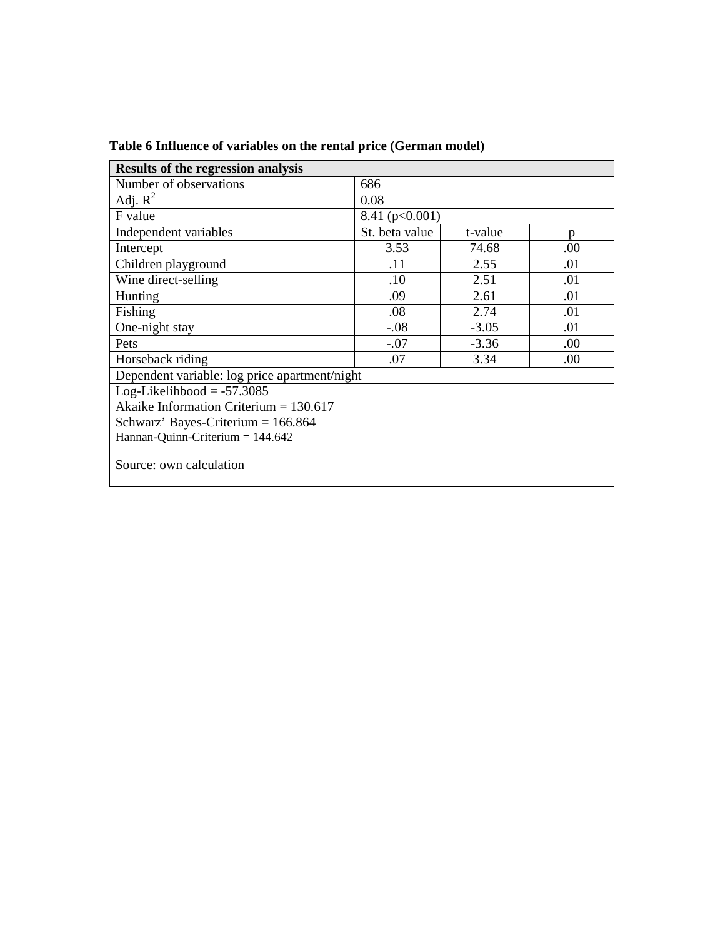| <b>Results of the regression analysis</b>     |                    |         |      |
|-----------------------------------------------|--------------------|---------|------|
| Number of observations                        | 686                |         |      |
| Adj. $R^2$                                    | 0.08               |         |      |
| F value                                       | 8.41 ( $p<0.001$ ) |         |      |
| Independent variables                         | St. beta value     | t-value | p    |
| Intercept                                     | 3.53               | 74.68   | .00  |
| Children playground                           | .11                | 2.55    | .01  |
| Wine direct-selling                           | .10                | 2.51    | .01  |
| Hunting                                       | .09                | 2.61    | .01  |
| Fishing                                       | .08                | 2.74    | .01  |
| One-night stay                                | $-.08$             | $-3.05$ | .01  |
| Pets                                          | $-.07$             | $-3.36$ | .00. |
| Horseback riding                              | .07                | 3.34    | .00  |
| Dependent variable: log price apartment/night |                    |         |      |
| $Log-Likelihbool = -57.3085$                  |                    |         |      |
| Akaike Information Criterium = $130.617$      |                    |         |      |
| Schwarz' Bayes-Criterium $= 166.864$          |                    |         |      |
| Hannan-Quinn-Criterium $= 144.642$            |                    |         |      |
| Source: own calculation                       |                    |         |      |

# **Table 6 Influence of variables on the rental price (German model)**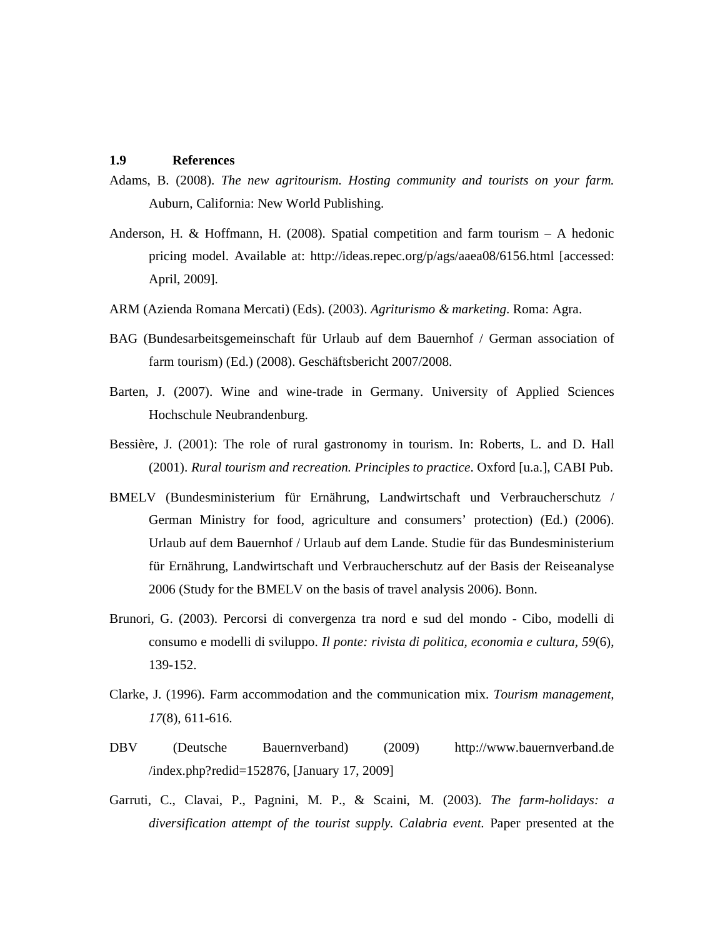#### **1.9 References**

- Adams, B. (2008). *The new agritourism. Hosting community and tourists on your farm.* Auburn, California: New World Publishing.
- Anderson, H. & Hoffmann, H. (2008). Spatial competition and farm tourism A hedonic pricing model. Available at: http://ideas.repec.org/p/ags/aaea08/6156.html [accessed: April, 2009].
- ARM (Azienda Romana Mercati) (Eds). (2003). *Agriturismo & marketing*. Roma: Agra.
- BAG (Bundesarbeitsgemeinschaft für Urlaub auf dem Bauernhof / German association of farm tourism) (Ed.) (2008). Geschäftsbericht 2007/2008.
- Barten, J. (2007). Wine and wine-trade in Germany. University of Applied Sciences Hochschule Neubrandenburg.
- Bessière, J. (2001): The role of rural gastronomy in tourism. In: Roberts, L. and D. Hall (2001). *Rural tourism and recreation. Principles to practice*. Oxford [u.a.], CABI Pub.
- BMELV (Bundesministerium für Ernährung, Landwirtschaft und Verbraucherschutz / German Ministry for food, agriculture and consumers' protection) (Ed.) (2006). Urlaub auf dem Bauernhof / Urlaub auf dem Lande. Studie für das Bundesministerium für Ernährung, Landwirtschaft und Verbraucherschutz auf der Basis der Reiseanalyse 2006 (Study for the BMELV on the basis of travel analysis 2006). Bonn.
- Brunori, G. (2003). Percorsi di convergenza tra nord e sud del mondo Cibo, modelli di consumo e modelli di sviluppo. *Il ponte: rivista di politica, economia e cultura, 59*(6), 139-152.
- Clarke, J. (1996). Farm accommodation and the communication mix. *Tourism management, 17*(8), 611-616.
- DBV (Deutsche Bauernverband) (2009) http://www.bauernverband.de /index.php?redid=152876, [January 17, 2009]
- Garruti, C., Clavai, P., Pagnini, M. P., & Scaini, M. (2003). *The farm-holidays: a diversification attempt of the tourist supply. Calabria event.* Paper presented at the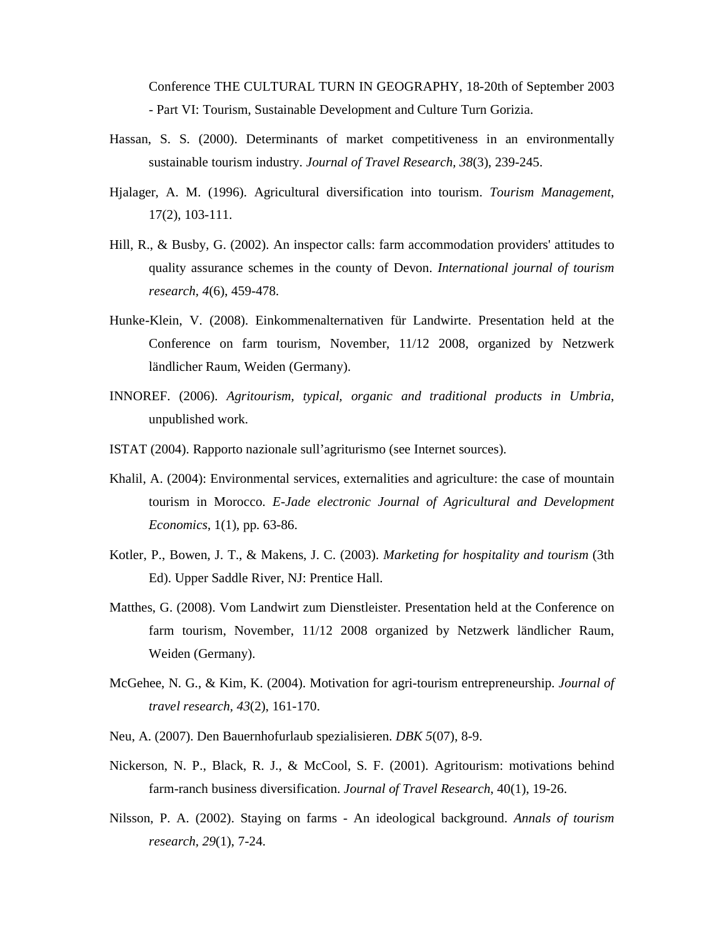Conference THE CULTURAL TURN IN GEOGRAPHY, 18-20th of September 2003 - Part VI: Tourism, Sustainable Development and Culture Turn Gorizia.

- Hassan, S. S. (2000). Determinants of market competitiveness in an environmentally sustainable tourism industry. *Journal of Travel Research, 38*(3), 239-245.
- Hjalager, A. M. (1996). Agricultural diversification into tourism. *Tourism Management*, 17(2), 103-111.
- Hill, R., & Busby, G. (2002). An inspector calls: farm accommodation providers' attitudes to quality assurance schemes in the county of Devon. *International journal of tourism research, 4*(6), 459-478.
- Hunke-Klein, V. (2008). Einkommenalternativen für Landwirte. Presentation held at the Conference on farm tourism, November, 11/12 2008, organized by Netzwerk ländlicher Raum, Weiden (Germany).
- INNOREF. (2006). *Agritourism, typical, organic and traditional products in Umbria*, unpublished work.
- ISTAT (2004). Rapporto nazionale sull'agriturismo (see Internet sources).
- Khalil, A. (2004): Environmental services, externalities and agriculture: the case of mountain tourism in Morocco. *E-Jade electronic Journal of Agricultural and Development Economics*, 1(1), pp. 63-86.
- Kotler, P., Bowen, J. T., & Makens, J. C. (2003). *Marketing for hospitality and tourism* (3th Ed). Upper Saddle River, NJ: Prentice Hall.
- Matthes, G. (2008). Vom Landwirt zum Dienstleister. Presentation held at the Conference on farm tourism, November, 11/12 2008 organized by Netzwerk ländlicher Raum, Weiden (Germany).
- McGehee, N. G., & Kim, K. (2004). Motivation for agri-tourism entrepreneurship. *Journal of travel research, 43*(2), 161-170.
- Neu, A. (2007). Den Bauernhofurlaub spezialisieren. *DBK 5*(07), 8-9.
- Nickerson, N. P., Black, R. J., & McCool, S. F. (2001). Agritourism: motivations behind farm-ranch business diversification. *Journal of Travel Research*, 40(1), 19-26.
- Nilsson, P. A. (2002). Staying on farms An ideological background. *Annals of tourism research, 29*(1), 7-24.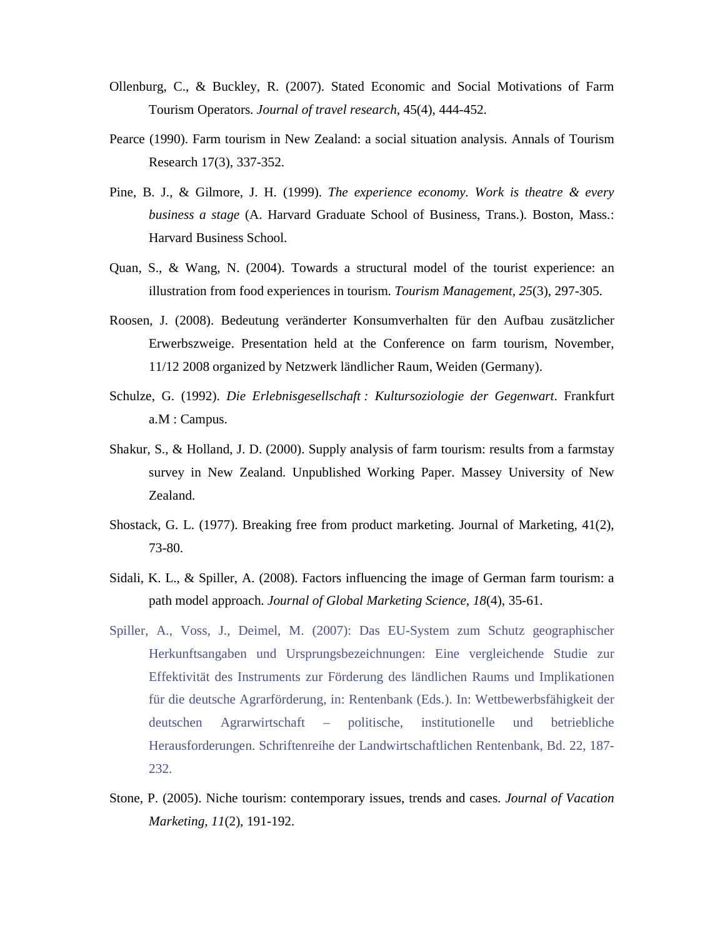- Ollenburg, C., & Buckley, R. (2007). Stated Economic and Social Motivations of Farm Tourism Operators. *Journal of travel research*, 45(4), 444-452.
- Pearce (1990). Farm tourism in New Zealand: a social situation analysis. Annals of Tourism Research 17(3), 337-352.
- Pine, B. J., & Gilmore, J. H. (1999). *The experience economy. Work is theatre & every business a stage* (A. Harvard Graduate School of Business, Trans.). Boston, Mass.: Harvard Business School.
- Quan, S., & Wang, N. (2004). Towards a structural model of the tourist experience: an illustration from food experiences in tourism. *Tourism Management, 25*(3), 297-305.
- Roosen, J. (2008). Bedeutung veränderter Konsumverhalten für den Aufbau zusätzlicher Erwerbszweige. Presentation held at the Conference on farm tourism, November, 11/12 2008 organized by Netzwerk ländlicher Raum, Weiden (Germany).
- Schulze, G. (1992). *Die Erlebnisgesellschaft : Kultursoziologie der Gegenwart*. Frankfurt a.M : Campus.
- Shakur, S., & Holland, J. D. (2000). Supply analysis of farm tourism: results from a farmstay survey in New Zealand. Unpublished Working Paper. Massey University of New Zealand.
- Shostack, G. L. (1977). Breaking free from product marketing. Journal of Marketing, 41(2), 73-80.
- Sidali, K. L., & Spiller, A. (2008). Factors influencing the image of German farm tourism: a path model approach. *Journal of Global Marketing Science, 18*(4), 35-61.
- Spiller, A., Voss, J., Deimel, M. (2007): Das EU-System zum Schutz geographischer Herkunftsangaben und Ursprungsbezeichnungen: Eine vergleichende Studie zur Effektivität des Instruments zur Förderung des ländlichen Raums und Implikationen für die deutsche Agrarförderung, in: Rentenbank (Eds.). In: Wettbewerbsfähigkeit der deutschen Agrarwirtschaft – politische, institutionelle und betriebliche Herausforderungen. Schriftenreihe der Landwirtschaftlichen Rentenbank, Bd. 22, 187- 232.
- Stone, P. (2005). Niche tourism: contemporary issues, trends and cases. *Journal of Vacation Marketing, 11*(2), 191-192.